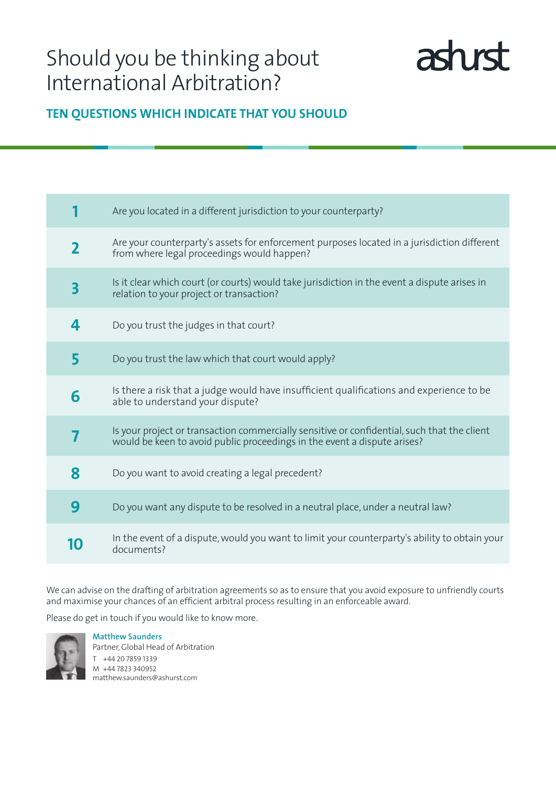# Should you be thinking about International Arbitration?



# **Ten questions which indicate THAT you should**

|                         | Are you located in a different jurisdiction to your counterparty?                                                                                                       |
|-------------------------|-------------------------------------------------------------------------------------------------------------------------------------------------------------------------|
| $\overline{\mathbf{2}}$ | Are your counterparty's assets for enforcement purposes located in a jurisdiction different<br>from where legal proceedings would happen?                               |
| 3                       | Is it clear which court (or courts) would take jurisdiction in the event a dispute arises in<br>relation to your project or transaction?                                |
| 4                       | Do you trust the judges in that court?                                                                                                                                  |
| 5                       | Do you trust the law which that court would apply?                                                                                                                      |
| 6                       | Is there a risk that a judge would have insufficient qualifications and experience to be<br>able to understand your dispute?                                            |
|                         | Is your project or transaction commercially sensitive or confidential, such that the client<br>would be keen to avoid public proceedings in the event a dispute arises? |
| 8                       | Do you want to avoid creating a legal precedent?                                                                                                                        |
| 9                       | Do you want any dispute to be resolved in a neutral place, under a neutral law?                                                                                         |
| 10                      | In the event of a dispute, would you want to limit your counterparty's ability to obtain your<br>documents?                                                             |

We can advise on the drafting of arbitration agreements so as to ensure that you avoid exposure to unfriendly courts and maximise your chances of an efficient arbitral process resulting in an enforceable award.

Please do get in touch if you would like to know more.



**Matthew Saunders** Partner, Global Head of Arbitration T +44 20 7859 1339 M +44 7823 340952 matthew.saunders@ashurst.com